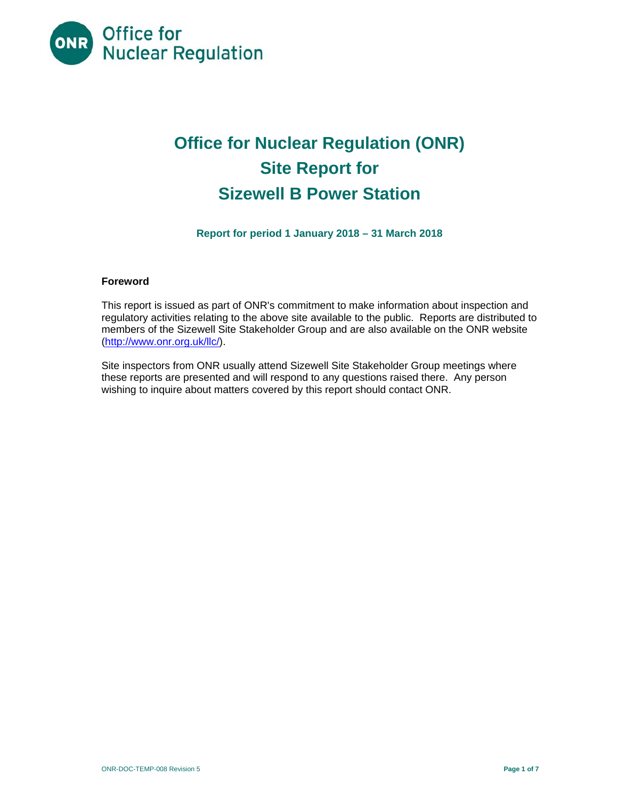

# **Office for Nuclear Regulation (ONR) Site Report for Sizewell B Power Station**

**Report for period 1 January 2018 – 31 March 2018** 

### **Foreword**

This report is issued as part of ONR's commitment to make information about inspection and regulatory activities relating to the above site available to the public. Reports are distributed to members of the Sizewell Site Stakeholder Group and are also available on the ONR website (http://www.onr.org.uk/llc/).

Site inspectors from ONR usually attend Sizewell Site Stakeholder Group meetings where these reports are presented and will respond to any questions raised there. Any person wishing to inquire about matters covered by this report should contact ONR.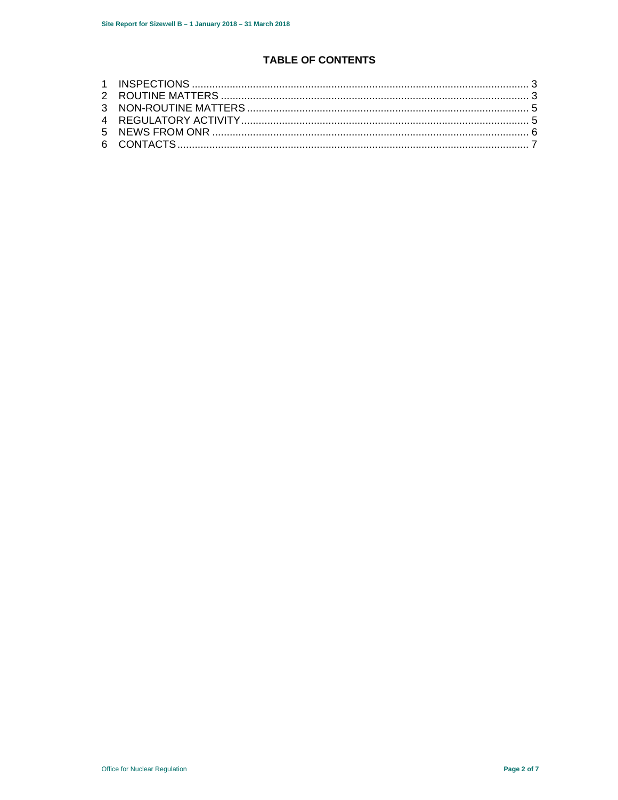# **TABLE OF CONTENTS**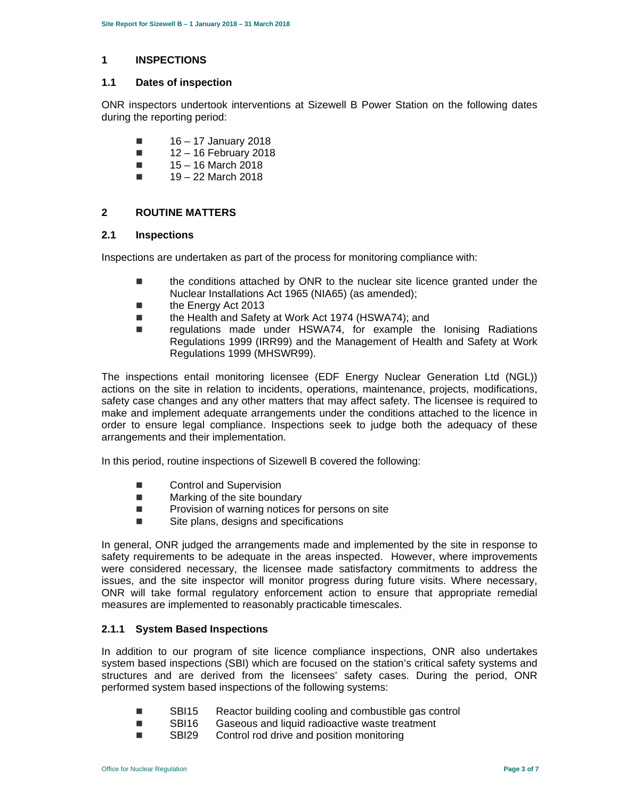#### **1 INSPECTIONS**

#### **1.1 Dates of inspection**

ONR inspectors undertook interventions at Sizewell B Power Station on the following dates during the reporting period:

- $\blacksquare$  16 17 January 2018
- $12 16$  February 2018
- $15 16$  March 2018
- $19 22$  March 2018

## **2 ROUTINE MATTERS**

#### **2.1 Inspections**

Inspections are undertaken as part of the process for monitoring compliance with:

- the conditions attached by ONR to the nuclear site licence granted under the Nuclear Installations Act 1965 (NIA65) (as amended);
- the Energy Act 2013
- the Health and Safety at Work Act 1974 (HSWA74); and
- regulations made under HSWA74, for example the Ionising Radiations Regulations 1999 (IRR99) and the Management of Health and Safety at Work Regulations 1999 (MHSWR99).

The inspections entail monitoring licensee (EDF Energy Nuclear Generation Ltd (NGL)) actions on the site in relation to incidents, operations, maintenance, projects, modifications, safety case changes and any other matters that may affect safety. The licensee is required to make and implement adequate arrangements under the conditions attached to the licence in order to ensure legal compliance. Inspections seek to judge both the adequacy of these arrangements and their implementation.

In this period, routine inspections of Sizewell B covered the following:

- Control and Supervision
- **Marking of the site boundary**
- $\blacksquare$  Provision of warning notices for persons on site
- Site plans, designs and specifications

In general, ONR judged the arrangements made and implemented by the site in response to safety requirements to be adequate in the areas inspected. However, where improvements were considered necessary, the licensee made satisfactory commitments to address the issues, and the site inspector will monitor progress during future visits. Where necessary, ONR will take formal regulatory enforcement action to ensure that appropriate remedial measures are implemented to reasonably practicable timescales.

### **2.1.1 System Based Inspections**

In addition to our program of site licence compliance inspections, ONR also undertakes system based inspections (SBI) which are focused on the station's critical safety systems and structures and are derived from the licensees' safety cases. During the period, ONR performed system based inspections of the following systems:

- SBI15 Reactor building cooling and combustible gas control
- SBI16 Gaseous and liquid radioactive waste treatment
- SBI29 Control rod drive and position monitoring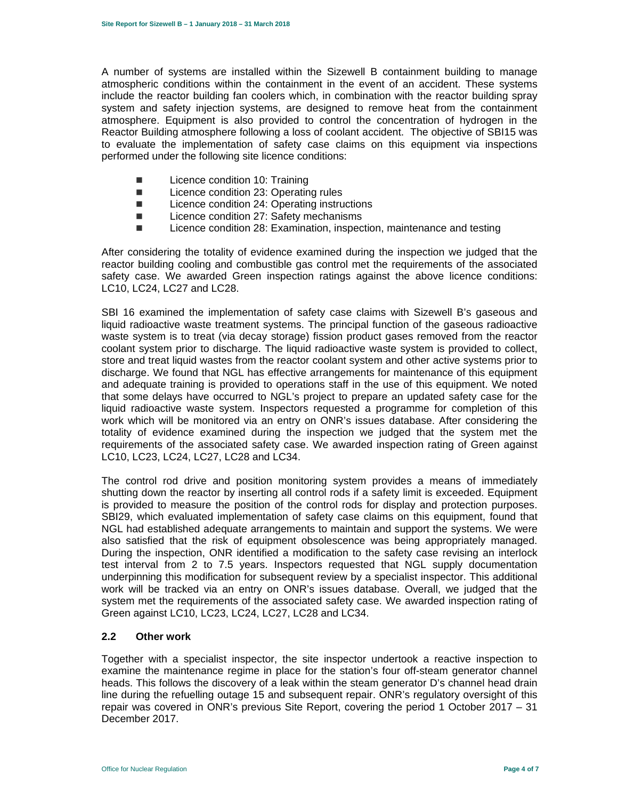A number of systems are installed within the Sizewell B containment building to manage atmospheric conditions within the containment in the event of an accident. These systems include the reactor building fan coolers which, in combination with the reactor building spray system and safety injection systems, are designed to remove heat from the containment atmosphere. Equipment is also provided to control the concentration of hydrogen in the Reactor Building atmosphere following a loss of coolant accident. The objective of SBI15 was to evaluate the implementation of safety case claims on this equipment via inspections performed under the following site licence conditions:

- **Licence condition 10: Training**
- Licence condition 23: Operating rules
- Licence condition 24: Operating instructions
- Licence condition 27: Safety mechanisms
- Licence condition 28: Examination, inspection, maintenance and testing

After considering the totality of evidence examined during the inspection we judged that the reactor building cooling and combustible gas control met the requirements of the associated safety case. We awarded Green inspection ratings against the above licence conditions: LC10, LC24, LC27 and LC28.

SBI 16 examined the implementation of safety case claims with Sizewell B's gaseous and liquid radioactive waste treatment systems. The principal function of the gaseous radioactive waste system is to treat (via decay storage) fission product gases removed from the reactor coolant system prior to discharge. The liquid radioactive waste system is provided to collect, store and treat liquid wastes from the reactor coolant system and other active systems prior to discharge. We found that NGL has effective arrangements for maintenance of this equipment and adequate training is provided to operations staff in the use of this equipment. We noted that some delays have occurred to NGL's project to prepare an updated safety case for the liquid radioactive waste system. Inspectors requested a programme for completion of this work which will be monitored via an entry on ONR's issues database. After considering the totality of evidence examined during the inspection we judged that the system met the requirements of the associated safety case. We awarded inspection rating of Green against LC10, LC23, LC24, LC27, LC28 and LC34.

The control rod drive and position monitoring system provides a means of immediately shutting down the reactor by inserting all control rods if a safety limit is exceeded. Equipment is provided to measure the position of the control rods for display and protection purposes. SBI29, which evaluated implementation of safety case claims on this equipment, found that NGL had established adequate arrangements to maintain and support the systems. We were also satisfied that the risk of equipment obsolescence was being appropriately managed. During the inspection, ONR identified a modification to the safety case revising an interlock test interval from 2 to 7.5 years. Inspectors requested that NGL supply documentation underpinning this modification for subsequent review by a specialist inspector. This additional work will be tracked via an entry on ONR's issues database. Overall, we judged that the system met the requirements of the associated safety case. We awarded inspection rating of Green against LC10, LC23, LC24, LC27, LC28 and LC34.

### **2.2 Other work**

Together with a specialist inspector, the site inspector undertook a reactive inspection to examine the maintenance regime in place for the station's four off-steam generator channel heads. This follows the discovery of a leak within the steam generator D's channel head drain line during the refuelling outage 15 and subsequent repair. ONR's regulatory oversight of this repair was covered in ONR's previous Site Report, covering the period 1 October 2017 – 31 December 2017.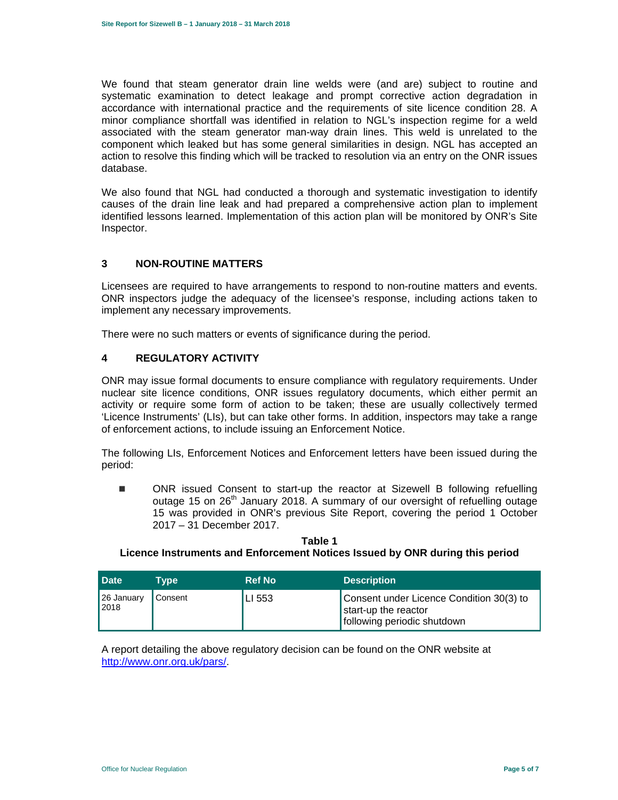We found that steam generator drain line welds were (and are) subject to routine and systematic examination to detect leakage and prompt corrective action degradation in accordance with international practice and the requirements of site licence condition 28. A minor compliance shortfall was identified in relation to NGL's inspection regime for a weld associated with the steam generator man-way drain lines. This weld is unrelated to the component which leaked but has some general similarities in design. NGL has accepted an action to resolve this finding which will be tracked to resolution via an entry on the ONR issues database.

We also found that NGL had conducted a thorough and systematic investigation to identify causes of the drain line leak and had prepared a comprehensive action plan to implement identified lessons learned. Implementation of this action plan will be monitored by ONR's Site Inspector.

# **3 NON-ROUTINE MATTERS**

Licensees are required to have arrangements to respond to non-routine matters and events. ONR inspectors judge the adequacy of the licensee's response, including actions taken to implement any necessary improvements.

There were no such matters or events of significance during the period.

# **4 REGULATORY ACTIVITY**

ONR may issue formal documents to ensure compliance with regulatory requirements. Under nuclear site licence conditions, ONR issues regulatory documents, which either permit an activity or require some form of action to be taken; these are usually collectively termed 'Licence Instruments' (LIs), but can take other forms. In addition, inspectors may take a range of enforcement actions, to include issuing an Enforcement Notice.

The following LIs, Enforcement Notices and Enforcement letters have been issued during the period:

 ONR issued Consent to start-up the reactor at Sizewell B following refuelling outage 15 on  $26<sup>th</sup>$  January 2018. A summary of our oversight of refuelling outage 15 was provided in ONR's previous Site Report, covering the period 1 October 2017 – 31 December 2017.

| <b>Date</b>        | Tvpe    | <b>Ref No</b> | <b>Description</b>                                                                              |
|--------------------|---------|---------------|-------------------------------------------------------------------------------------------------|
| 26 January<br>2018 | Consent | LI 553        | Consent under Licence Condition 30(3) to<br>start-up the reactor<br>following periodic shutdown |

**Table 1 Licence Instruments and Enforcement Notices Issued by ONR during this period** 

A report detailing the above regulatory decision can be found on the ONR website at http://www.onr.org.uk/pars/.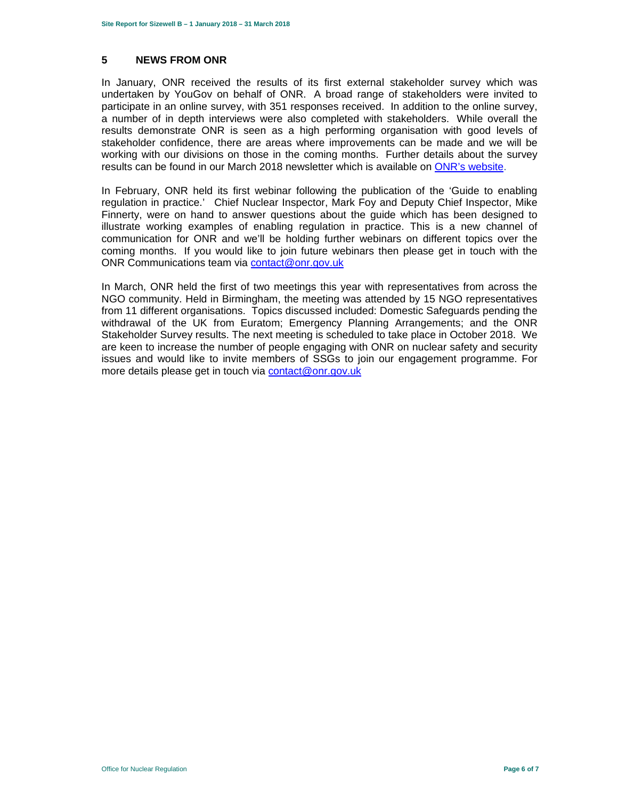#### **5 NEWS FROM ONR**

In January, ONR received the results of its first external stakeholder survey which was undertaken by YouGov on behalf of ONR. A broad range of stakeholders were invited to participate in an online survey, with 351 responses received. In addition to the online survey, a number of in depth interviews were also completed with stakeholders. While overall the results demonstrate ONR is seen as a high performing organisation with good levels of stakeholder confidence, there are areas where improvements can be made and we will be working with our divisions on those in the coming months. Further details about the survey results can be found in our March 2018 newsletter which is available on ONR's website.

In February, ONR held its first webinar following the publication of the 'Guide to enabling regulation in practice.' Chief Nuclear Inspector, Mark Foy and Deputy Chief Inspector, Mike Finnerty, were on hand to answer questions about the guide which has been designed to illustrate working examples of enabling regulation in practice. This is a new channel of communication for ONR and we'll be holding further webinars on different topics over the coming months. If you would like to join future webinars then please get in touch with the ONR Communications team via contact@onr.gov.uk

In March, ONR held the first of two meetings this year with representatives from across the NGO community. Held in Birmingham, the meeting was attended by 15 NGO representatives from 11 different organisations. Topics discussed included: Domestic Safeguards pending the withdrawal of the UK from Euratom; Emergency Planning Arrangements; and the ONR Stakeholder Survey results. The next meeting is scheduled to take place in October 2018. We are keen to increase the number of people engaging with ONR on nuclear safety and security issues and would like to invite members of SSGs to join our engagement programme. For more details please get in touch via contact@onr.gov.uk